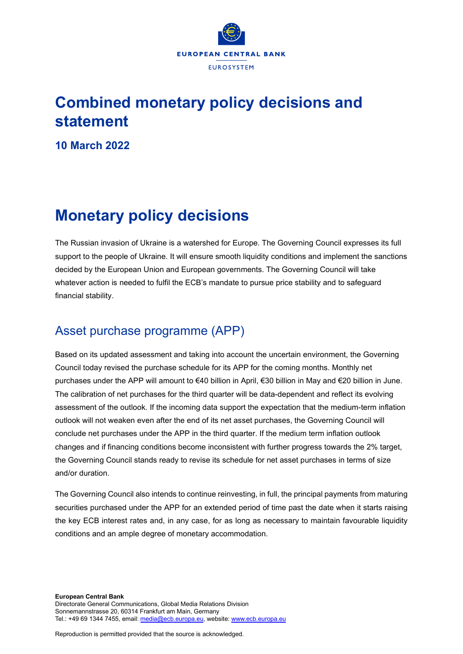

## **Combined monetary policy decisions and statement**

**10 March 2022**

# **Monetary policy decisions**

The Russian invasion of Ukraine is a watershed for Europe. The Governing Council expresses its full support to the people of Ukraine. It will ensure smooth liquidity conditions and implement the sanctions decided by the European Union and European governments. The Governing Council will take whatever action is needed to fulfil the ECB's mandate to pursue price stability and to safeguard financial stability.

## Asset purchase programme (APP)

Based on its updated assessment and taking into account the uncertain environment, the Governing Council today revised the purchase schedule for its APP for the coming months. Monthly net purchases under the APP will amount to €40 billion in April, €30 billion in May and €20 billion in June. The calibration of net purchases for the third quarter will be data-dependent and reflect its evolving assessment of the outlook. If the incoming data support the expectation that the medium-term inflation outlook will not weaken even after the end of its net asset purchases, the Governing Council will conclude net purchases under the APP in the third quarter. If the medium term inflation outlook changes and if financing conditions become inconsistent with further progress towards the 2% target, the Governing Council stands ready to revise its schedule for net asset purchases in terms of size and/or duration.

The Governing Council also intends to continue reinvesting, in full, the principal payments from maturing securities purchased under the APP for an extended period of time past the date when it starts raising the key ECB interest rates and, in any case, for as long as necessary to maintain favourable liquidity conditions and an ample degree of monetary accommodation.

Reproduction is permitted provided that the source is acknowledged.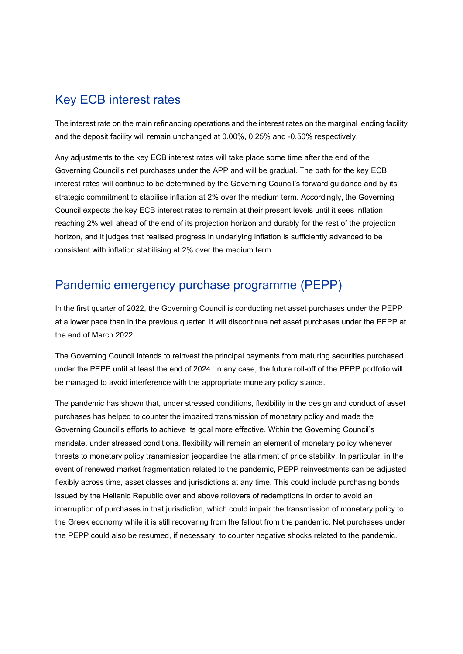### Key ECB interest rates

The interest rate on the main refinancing operations and the interest rates on the marginal lending facility and the deposit facility will remain unchanged at 0.00%, 0.25% and -0.50% respectively.

Any adjustments to the key ECB interest rates will take place some time after the end of the Governing Council's net purchases under the APP and will be gradual. The path for the key ECB interest rates will continue to be determined by the Governing Council's forward guidance and by its strategic commitment to stabilise inflation at 2% over the medium term. Accordingly, the Governing Council expects the key ECB interest rates to remain at their present levels until it sees inflation reaching 2% well ahead of the end of its projection horizon and durably for the rest of the projection horizon, and it judges that realised progress in underlying inflation is sufficiently advanced to be consistent with inflation stabilising at 2% over the medium term.

### Pandemic emergency purchase programme (PEPP)

In the first quarter of 2022, the Governing Council is conducting net asset purchases under the PEPP at a lower pace than in the previous quarter. It will discontinue net asset purchases under the PEPP at the end of March 2022.

The Governing Council intends to reinvest the principal payments from maturing securities purchased under the PEPP until at least the end of 2024. In any case, the future roll-off of the PEPP portfolio will be managed to avoid interference with the appropriate monetary policy stance.

The pandemic has shown that, under stressed conditions, flexibility in the design and conduct of asset purchases has helped to counter the impaired transmission of monetary policy and made the Governing Council's efforts to achieve its goal more effective. Within the Governing Council's mandate, under stressed conditions, flexibility will remain an element of monetary policy whenever threats to monetary policy transmission jeopardise the attainment of price stability. In particular, in the event of renewed market fragmentation related to the pandemic, PEPP reinvestments can be adjusted flexibly across time, asset classes and jurisdictions at any time. This could include purchasing bonds issued by the Hellenic Republic over and above rollovers of redemptions in order to avoid an interruption of purchases in that jurisdiction, which could impair the transmission of monetary policy to the Greek economy while it is still recovering from the fallout from the pandemic. Net purchases under the PEPP could also be resumed, if necessary, to counter negative shocks related to the pandemic.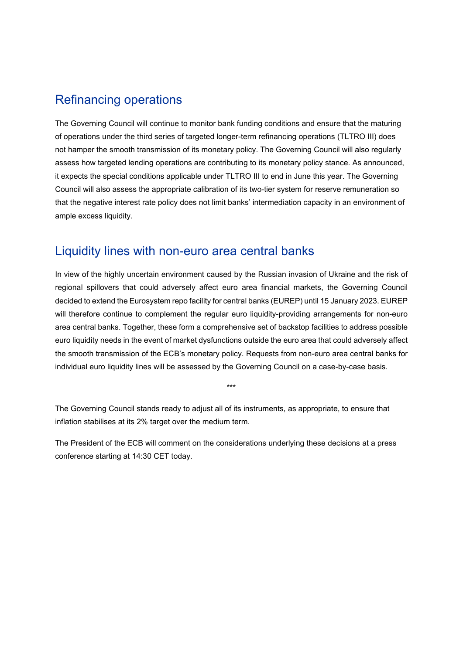#### Refinancing operations

The Governing Council will continue to monitor bank funding conditions and ensure that the maturing of operations under the third series of targeted longer-term refinancing operations (TLTRO III) does not hamper the smooth transmission of its monetary policy. The Governing Council will also regularly assess how targeted lending operations are contributing to its monetary policy stance. As announced, it expects the special conditions applicable under TLTRO III to end in June this year. The Governing Council will also assess the appropriate calibration of its two-tier system for reserve remuneration so that the negative interest rate policy does not limit banks' intermediation capacity in an environment of ample excess liquidity.

### Liquidity lines with non-euro area central banks

In view of the highly uncertain environment caused by the Russian invasion of Ukraine and the risk of regional spillovers that could adversely affect euro area financial markets, the Governing Council decided to extend the Eurosystem repo facility for central banks (EUREP) until 15 January 2023. EUREP will therefore continue to complement the regular euro liquidity-providing arrangements for non-euro area central banks. Together, these form a comprehensive set of backstop facilities to address possible euro liquidity needs in the event of market dysfunctions outside the euro area that could adversely affect the smooth transmission of the ECB's monetary policy. Requests from non-euro area central banks for individual euro liquidity lines will be assessed by the Governing Council on a case-by-case basis.

\*\*\*

The Governing Council stands ready to adjust all of its instruments, as appropriate, to ensure that inflation stabilises at its 2% target over the medium term.

The President of the ECB will comment on the considerations underlying these decisions at a press conference starting at 14:30 CET today.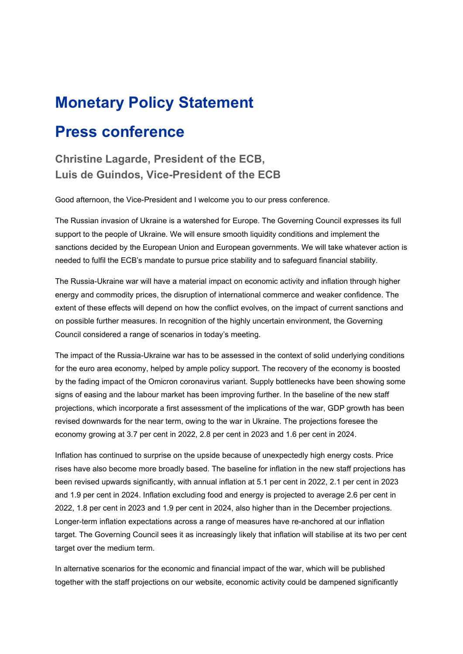## **Monetary Policy Statement**

## **Press conference**

**Christine Lagarde, President of the ECB, Luis de Guindos, Vice-President of the ECB**

Good afternoon, the Vice-President and I welcome you to our press conference.

The Russian invasion of Ukraine is a watershed for Europe. The Governing Council expresses its full support to the people of Ukraine. We will ensure smooth liquidity conditions and implement the sanctions decided by the European Union and European governments. We will take whatever action is needed to fulfil the ECB's mandate to pursue price stability and to safeguard financial stability.

The Russia-Ukraine war will have a material impact on economic activity and inflation through higher energy and commodity prices, the disruption of international commerce and weaker confidence. The extent of these effects will depend on how the conflict evolves, on the impact of current sanctions and on possible further measures. In recognition of the highly uncertain environment, the Governing Council considered a range of scenarios in today's meeting.

The impact of the Russia-Ukraine war has to be assessed in the context of solid underlying conditions for the euro area economy, helped by ample policy support. The recovery of the economy is boosted by the fading impact of the Omicron coronavirus variant. Supply bottlenecks have been showing some signs of easing and the labour market has been improving further. In the baseline of the new staff projections, which incorporate a first assessment of the implications of the war, GDP growth has been revised downwards for the near term, owing to the war in Ukraine. The projections foresee the economy growing at 3.7 per cent in 2022, 2.8 per cent in 2023 and 1.6 per cent in 2024.

Inflation has continued to surprise on the upside because of unexpectedly high energy costs. Price rises have also become more broadly based. The baseline for inflation in the new staff projections has been revised upwards significantly, with annual inflation at 5.1 per cent in 2022, 2.1 per cent in 2023 and 1.9 per cent in 2024. Inflation excluding food and energy is projected to average 2.6 per cent in 2022, 1.8 per cent in 2023 and 1.9 per cent in 2024, also higher than in the December projections. Longer-term inflation expectations across a range of measures have re-anchored at our inflation target. The Governing Council sees it as increasingly likely that inflation will stabilise at its two per cent target over the medium term.

In alternative scenarios for the economic and financial impact of the war, which will be published together with the staff projections on our website, economic activity could be dampened significantly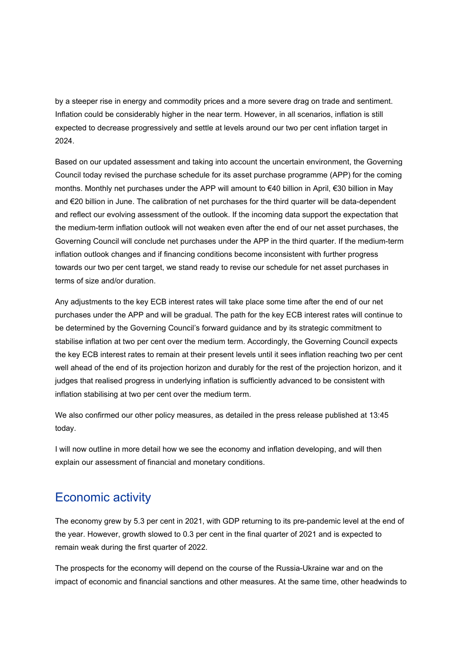by a steeper rise in energy and commodity prices and a more severe drag on trade and sentiment. Inflation could be considerably higher in the near term. However, in all scenarios, inflation is still expected to decrease progressively and settle at levels around our two per cent inflation target in 2024.

Based on our updated assessment and taking into account the uncertain environment, the Governing Council today revised the purchase schedule for its asset purchase programme (APP) for the coming months. Monthly net purchases under the APP will amount to €40 billion in April, €30 billion in May and €20 billion in June. The calibration of net purchases for the third quarter will be data-dependent and reflect our evolving assessment of the outlook. If the incoming data support the expectation that the medium-term inflation outlook will not weaken even after the end of our net asset purchases, the Governing Council will conclude net purchases under the APP in the third quarter. If the medium-term inflation outlook changes and if financing conditions become inconsistent with further progress towards our two per cent target, we stand ready to revise our schedule for net asset purchases in terms of size and/or duration.

Any adjustments to the key ECB interest rates will take place some time after the end of our net purchases under the APP and will be gradual. The path for the key ECB interest rates will continue to be determined by the Governing Council's forward guidance and by its strategic commitment to stabilise inflation at two per cent over the medium term. Accordingly, the Governing Council expects the key ECB interest rates to remain at their present levels until it sees inflation reaching two per cent well ahead of the end of its projection horizon and durably for the rest of the projection horizon, and it judges that realised progress in underlying inflation is sufficiently advanced to be consistent with inflation stabilising at two per cent over the medium term.

We also confirmed our other policy measures, as detailed in the press release published at 13:45 today.

I will now outline in more detail how we see the economy and inflation developing, and will then explain our assessment of financial and monetary conditions.

### Economic activity

The economy grew by 5.3 per cent in 2021, with GDP returning to its pre-pandemic level at the end of the year. However, growth slowed to 0.3 per cent in the final quarter of 2021 and is expected to remain weak during the first quarter of 2022.

The prospects for the economy will depend on the course of the Russia-Ukraine war and on the impact of economic and financial sanctions and other measures. At the same time, other headwinds to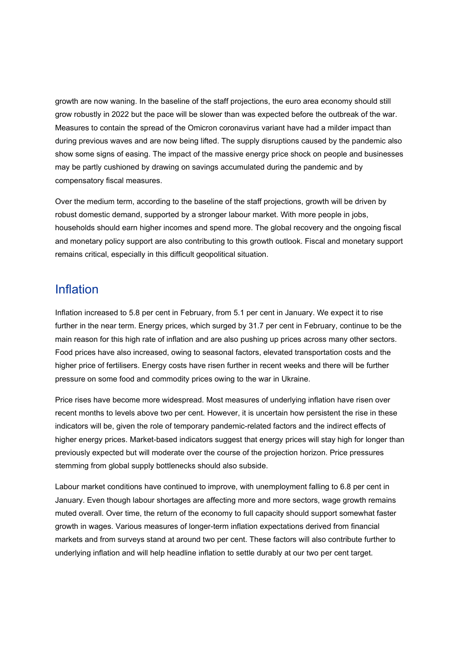growth are now waning. In the baseline of the staff projections, the euro area economy should still grow robustly in 2022 but the pace will be slower than was expected before the outbreak of the war. Measures to contain the spread of the Omicron coronavirus variant have had a milder impact than during previous waves and are now being lifted. The supply disruptions caused by the pandemic also show some signs of easing. The impact of the massive energy price shock on people and businesses may be partly cushioned by drawing on savings accumulated during the pandemic and by compensatory fiscal measures.

Over the medium term, according to the baseline of the staff projections, growth will be driven by robust domestic demand, supported by a stronger labour market. With more people in jobs, households should earn higher incomes and spend more. The global recovery and the ongoing fiscal and monetary policy support are also contributing to this growth outlook. Fiscal and monetary support remains critical, especially in this difficult geopolitical situation.

#### Inflation

Inflation increased to 5.8 per cent in February, from 5.1 per cent in January. We expect it to rise further in the near term. Energy prices, which surged by 31.7 per cent in February, continue to be the main reason for this high rate of inflation and are also pushing up prices across many other sectors. Food prices have also increased, owing to seasonal factors, elevated transportation costs and the higher price of fertilisers. Energy costs have risen further in recent weeks and there will be further pressure on some food and commodity prices owing to the war in Ukraine.

Price rises have become more widespread. Most measures of underlying inflation have risen over recent months to levels above two per cent. However, it is uncertain how persistent the rise in these indicators will be, given the role of temporary pandemic-related factors and the indirect effects of higher energy prices. Market-based indicators suggest that energy prices will stay high for longer than previously expected but will moderate over the course of the projection horizon. Price pressures stemming from global supply bottlenecks should also subside.

Labour market conditions have continued to improve, with unemployment falling to 6.8 per cent in January. Even though labour shortages are affecting more and more sectors, wage growth remains muted overall. Over time, the return of the economy to full capacity should support somewhat faster growth in wages. Various measures of longer-term inflation expectations derived from financial markets and from surveys stand at around two per cent. These factors will also contribute further to underlying inflation and will help headline inflation to settle durably at our two per cent target.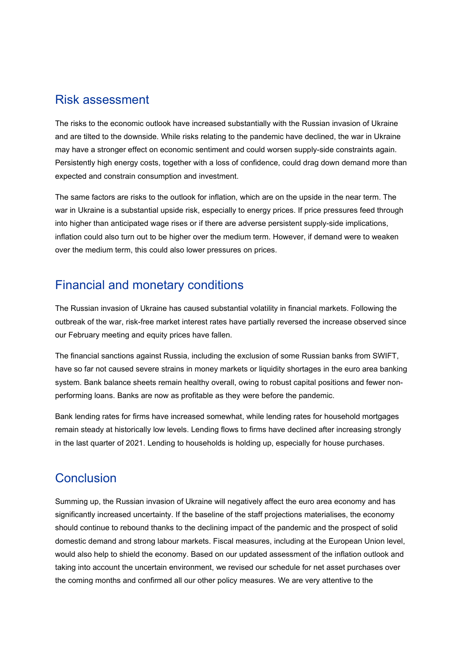#### Risk assessment

The risks to the economic outlook have increased substantially with the Russian invasion of Ukraine and are tilted to the downside. While risks relating to the pandemic have declined, the war in Ukraine may have a stronger effect on economic sentiment and could worsen supply-side constraints again. Persistently high energy costs, together with a loss of confidence, could drag down demand more than expected and constrain consumption and investment.

The same factors are risks to the outlook for inflation, which are on the upside in the near term. The war in Ukraine is a substantial upside risk, especially to energy prices. If price pressures feed through into higher than anticipated wage rises or if there are adverse persistent supply-side implications, inflation could also turn out to be higher over the medium term. However, if demand were to weaken over the medium term, this could also lower pressures on prices.

### Financial and monetary conditions

The Russian invasion of Ukraine has caused substantial volatility in financial markets. Following the outbreak of the war, risk-free market interest rates have partially reversed the increase observed since our February meeting and equity prices have fallen.

The financial sanctions against Russia, including the exclusion of some Russian banks from SWIFT, have so far not caused severe strains in money markets or liquidity shortages in the euro area banking system. Bank balance sheets remain healthy overall, owing to robust capital positions and fewer nonperforming loans. Banks are now as profitable as they were before the pandemic.

Bank lending rates for firms have increased somewhat, while lending rates for household mortgages remain steady at historically low levels. Lending flows to firms have declined after increasing strongly in the last quarter of 2021. Lending to households is holding up, especially for house purchases.

## **Conclusion**

Summing up, the Russian invasion of Ukraine will negatively affect the euro area economy and has significantly increased uncertainty. If the baseline of the staff projections materialises, the economy should continue to rebound thanks to the declining impact of the pandemic and the prospect of solid domestic demand and strong labour markets. Fiscal measures, including at the European Union level, would also help to shield the economy. Based on our updated assessment of the inflation outlook and taking into account the uncertain environment, we revised our schedule for net asset purchases over the coming months and confirmed all our other policy measures. We are very attentive to the